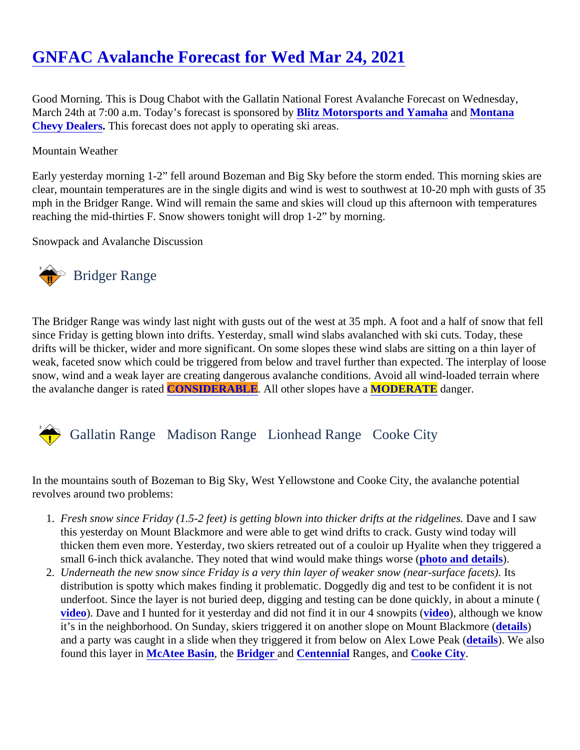## [GNFAC Avalanche Forecast for Wed Mar 24, 202](https://www.mtavalanche.com/forecast/21/03/24)1

Good Morning. This is Doug Chabot with the Gallatin National Forest Avalanche Forecast on Wednesday, March 24th at 7:00 a.m. Today's forecast is sponsored ity Motorsports and Yamaha an[d Montana](http://www.montanachevydealers.com/) [Chevy Dealers](http://www.montanachevydealers.com/) This forecast does not apply to operating ski areas.

## Mountain Weather

Early yesterday morning 1-2" fell around Bozeman and Big Sky before the storm ended. This morning skies a clear, mountain temperatures are in the single digits and wind is west to southwest at 10-20 mph with gusts o mph in the Bridger Range. Wind will remain the same and skies will cloud up this afternoon with temperatures reaching the mid-thirties F. Snow showers tonight will drop 1-2" by morning.

Snowpack and Avalanche Discussion

## Bridger Range

The Bridger Range was windy last night with gusts out of the west at 35 mph. A foot and a half of snow that fe since Friday is getting blown into drifts. Yesterday, small wind slabs avalanched with ski cuts. Today, these drifts will be thicker, wider and more significant. On some slopes these wind slabs are sitting on a thin layer o weak, faceted snow which could be triggered from below and travel further than expected. The interplay of loos snow, wind and a weak layer are creating dangerous avalanche conditions. Avoid all wind-loaded terrain whe the avalanche danger is raCONSIDERABLE. All other slopes have **MODERATE** danger.

## Gallatin Range Madison RangeLionhead RangeCooke City

In the mountains south of Bozeman to Big Sky, West Yellowstone and Cooke City, the avalanche potential revolves around two problems:

- 1. Fresh snow since Friday (1.5-2 feet) is getting blown into thicker drifts at the ridgellave. and I saw this yesterday on Mount Blackmore and were able to get wind drifts to crack. Gusty wind today will thicken them even more. Yesterday, two skiers retreated out of a couloir up Hyalite when they triggered small 6-inch thick avalanche. They noted that wind would make things worst (and details).
- 2. Underneath the new snow since Friday is a very thin layer of weaker snow (near-surfacelfacets). distribution is spotty which makes finding it problematic. Doggedly dig and test to be confident it is not underfoot. Since the layer is not buried deep, digging and testing can be done quickly, in about a minute [video](https://youtu.be/sqn0KFZqXYs)). Dave and I hunted for it yesterday and did not find it in our 4 sno[wpits \(](https://youtu.be/FAQK-UJK3aA), although we know it's in the neighborhood. On Sunday, skiers triggered it on another slope on Mount Blacketaire) ( and a party was caught in a slide when they triggered it from below on Alex Lowed Peak ( We also found this layer i[n McAtee Basin](https://youtu.be/zCKlHstJTqc), the [Bridger a](https://www.youtube.com/watch?v=TAWRM8yRgUM&list=PLXu5151nmAvQDzKmH5K3ZS8Gg3DzwsZ3O&index=2)n[d Centennial](https://www.youtube.com/watch?v=U1b5LjWLTac&list=PLXu5151nmAvQDzKmH5K3ZS8Gg3DzwsZ3O&index=1) Ranges, a[nd Cooke City.](https://www.youtube.com/watch?v=VQd7lPN6zTQ&list=PLXu5151nmAvQDzKmH5K3ZS8Gg3DzwsZ3O&index=4)